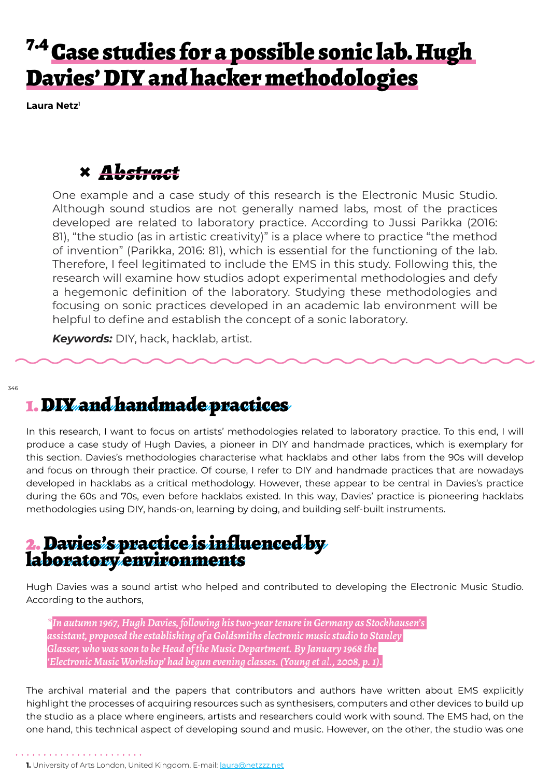## <sup>7.4</sup> Case studies for a possible sonic lab. Hugh Davies' DIY and hacker methodologies

**Laura Netz**<sup>1</sup>

#### **×** *Abstract*

One example and a case study of this research is the Electronic Music Studio. Although sound studios are not generally named labs, most of the practices developed are related to laboratory practice. According to Jussi Parikka (2016: 81), "the studio (as in artistic creativity)" is a place where to practice "the method of invention" (Parikka, 2016: 81), which is essential for the functioning of the lab. Therefore, I feel legitimated to include the EMS in this study. Following this, the research will examine how studios adopt experimental methodologies and defy a hegemonic definition of the laboratory. Studying these methodologies and focusing on sonic practices developed in an academic lab environment will be helpful to define and establish the concept of a sonic laboratory.

*Keywords:* DIY, hack, hacklab, artist.

346

#### 1. DIY and handmade practices

In this research, I want to focus on artists' methodologies related to laboratory practice. To this end, I will produce a case study of Hugh Davies, a pioneer in DIY and handmade practices, which is exemplary for this section. Davies's methodologies characterise what hacklabs and other labs from the 90s will develop and focus on through their practice. Of course, I refer to DIY and handmade practices that are nowadays developed in hacklabs as a critical methodology. However, these appear to be central in Davies's practice during the 60s and 70s, even before hacklabs existed. In this way, Davies' practice is pioneering hacklabs methodologies using DIY, hands-on, learning by doing, and building self-built instruments.

# 2. Davies's practice is influenced by laboratory environments

Hugh Davies was a sound artist who helped and contributed to developing the Electronic Music Studio. According to the authors,

*\*In autumn 1967, Hugh Davies, following his two-year tenure in Germany as Stockhausen's assistant, proposed the establishing of a Goldsmiths electronic music studio to Stanley Glasser, who was soon to be Head of the Music Department. By January 1968 the 'Electronic Music Workshop' had begun evening classes. (Young et al., 2008, p. 1).*

The archival material and the papers that contributors and authors have written about EMS explicitly highlight the processes of acquiring resources such as synthesisers, computers and other devices to build up the studio as a place where engineers, artists and researchers could work with sound. The EMS had, on the one hand, this technical aspect of developing sound and music. However, on the other, the studio was one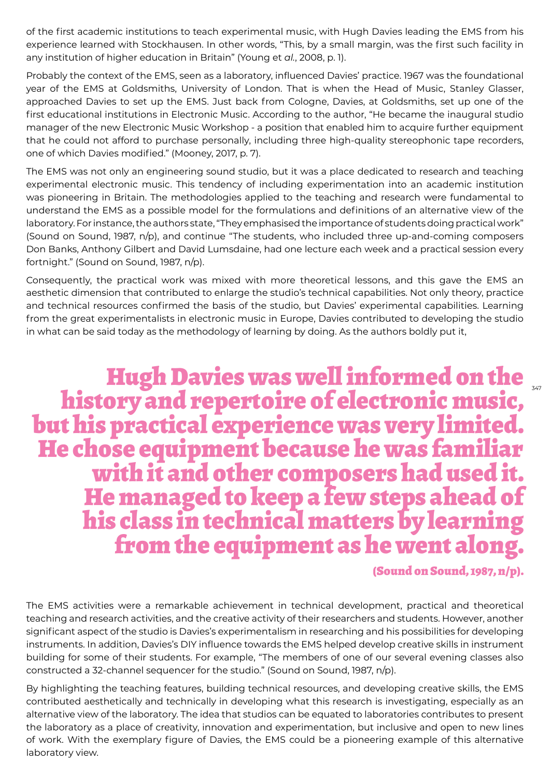of the first academic institutions to teach experimental music, with Hugh Davies leading the EMS from his experience learned with Stockhausen. In other words, "This, by a small margin, was the first such facility in any institution of higher education in Britain" (Young et *al.*, 2008, p. 1).

Probably the context of the EMS, seen as a laboratory, influenced Davies' practice. 1967 was the foundational year of the EMS at Goldsmiths, University of London. That is when the Head of Music, Stanley Glasser, approached Davies to set up the EMS. Just back from Cologne, Davies, at Goldsmiths, set up one of the first educational institutions in Electronic Music. According to the author, "He became the inaugural studio manager of the new Electronic Music Workshop - a position that enabled him to acquire further equipment that he could not afford to purchase personally, including three high-quality stereophonic tape recorders, one of which Davies modified." (Mooney, 2017, p. 7).

The EMS was not only an engineering sound studio, but it was a place dedicated to research and teaching experimental electronic music. This tendency of including experimentation into an academic institution was pioneering in Britain. The methodologies applied to the teaching and research were fundamental to understand the EMS as a possible model for the formulations and definitions of an alternative view of the laboratory. For instance, the authors state, "They emphasised the importance of students doing practical work" (Sound on Sound, 1987, n/p), and continue "The students, who included three up-and-coming composers Don Banks, Anthony Gilbert and David Lumsdaine, had one lecture each week and a practical session every fortnight." (Sound on Sound, 1987, n/p).

Consequently, the practical work was mixed with more theoretical lessons, and this gave the EMS an aesthetic dimension that contributed to enlarge the studio's technical capabilities. Not only theory, practice and technical resources confirmed the basis of the studio, but Davies' experimental capabilities. Learning from the great experimentalists in electronic music in Europe, Davies contributed to developing the studio in what can be said today as the methodology of learning by doing. As the authors boldly put it,

Hugh Davies was well informed on the history and repertoire of electronic music, but his practical experience was very limited. He chose equipment because he was familiar with it and other composers had used it. He managed to keep a few steps ahead of his class in technical matters by learning from the equipment as he went along.

(Sound on Sound, 1987, n/p).

The EMS activities were a remarkable achievement in technical development, practical and theoretical teaching and research activities, and the creative activity of their researchers and students. However, another significant aspect of the studio is Davies's experimentalism in researching and his possibilities for developing instruments. In addition, Davies's DIY influence towards the EMS helped develop creative skills in instrument building for some of their students. For example, "The members of one of our several evening classes also constructed a 32-channel sequencer for the studio." (Sound on Sound, 1987, n/p).

By highlighting the teaching features, building technical resources, and developing creative skills, the EMS contributed aesthetically and technically in developing what this research is investigating, especially as an alternative view of the laboratory. The idea that studios can be equated to laboratories contributes to present the laboratory as a place of creativity, innovation and experimentation, but inclusive and open to new lines of work. With the exemplary figure of Davies, the EMS could be a pioneering example of this alternative laboratory view.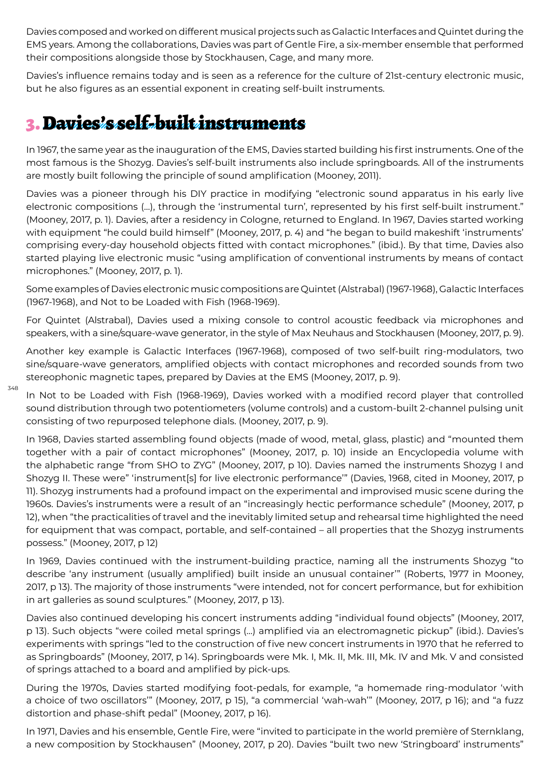Davies composed and worked on different musical projects such as Galactic Interfaces and Quintet during the EMS years. Among the collaborations, Davies was part of Gentle Fire, a six-member ensemble that performed their compositions alongside those by Stockhausen, Cage, and many more.

Davies's influence remains today and is seen as a reference for the culture of 21st-century electronic music, but he also figures as an essential exponent in creating self-built instruments.

### 3. Davies's self-built instruments

348

In 1967, the same year as the inauguration of the EMS, Davies started building his first instruments. One of the most famous is the Shozyg. Davies's self-built instruments also include springboards. All of the instruments are mostly built following the principle of sound amplification (Mooney, 2011).

Davies was a pioneer through his DIY practice in modifying "electronic sound apparatus in his early live electronic compositions (…), through the 'instrumental turn', represented by his first self-built instrument." (Mooney, 2017, p. 1). Davies, after a residency in Cologne, returned to England. In 1967, Davies started working with equipment "he could build himself" (Mooney, 2017, p. 4) and "he began to build makeshift 'instruments' comprising every-day household objects fitted with contact microphones." (ibid.). By that time, Davies also started playing live electronic music "using amplification of conventional instruments by means of contact microphones." (Mooney, 2017, p. 1).

Some examples of Davies electronic music compositions are Quintet (Alstrabal) (1967-1968), Galactic Interfaces (1967-1968), and Not to be Loaded with Fish (1968-1969).

For Quintet (Alstrabal), Davies used a mixing console to control acoustic feedback via microphones and speakers, with a sine/square-wave generator, in the style of Max Neuhaus and Stockhausen (Mooney, 2017, p. 9).

Another key example is Galactic Interfaces (1967-1968), composed of two self-built ring-modulators, two sine/square-wave generators, amplified objects with contact microphones and recorded sounds from two stereophonic magnetic tapes, prepared by Davies at the EMS (Mooney, 2017, p. 9).

In Not to be Loaded with Fish (1968-1969), Davies worked with a modified record player that controlled sound distribution through two potentiometers (volume controls) and a custom-built 2-channel pulsing unit consisting of two repurposed telephone dials. (Mooney, 2017, p. 9).

In 1968, Davies started assembling found objects (made of wood, metal, glass, plastic) and "mounted them together with a pair of contact microphones" (Mooney, 2017, p. 10) inside an Encyclopedia volume with the alphabetic range "from SHO to ZYG" (Mooney, 2017, p 10). Davies named the instruments Shozyg I and Shozyg II. These were" 'instrument[s] for live electronic performance'" (Davies, 1968, cited in Mooney, 2017, p 11). Shozyg instruments had a profound impact on the experimental and improvised music scene during the 1960s. Davies's instruments were a result of an "increasingly hectic performance schedule" (Mooney, 2017, p 12), when "the practicalities of travel and the inevitably limited setup and rehearsal time highlighted the need for equipment that was compact, portable, and self-contained – all properties that the Shozyg instruments possess." (Mooney, 2017, p 12)

In 1969, Davies continued with the instrument-building practice, naming all the instruments Shozyg "to describe 'any instrument (usually amplified) built inside an unusual container'" (Roberts, 1977 in Mooney, 2017, p 13). The majority of those instruments "were intended, not for concert performance, but for exhibition in art galleries as sound sculptures." (Mooney, 2017, p 13).

Davies also continued developing his concert instruments adding "individual found objects" (Mooney, 2017, p 13). Such objects "were coiled metal springs (…) amplified via an electromagnetic pickup" (ibid.). Davies's experiments with springs "led to the construction of five new concert instruments in 1970 that he referred to as Springboards" (Mooney, 2017, p 14). Springboards were Mk. I, Mk. II, Mk. III, Mk. IV and Mk. V and consisted of springs attached to a board and amplified by pick-ups.

During the 1970s, Davies started modifying foot-pedals, for example, "a homemade ring-modulator 'with a choice of two oscillators'" (Mooney, 2017, p 15), "a commercial 'wah-wah'" (Mooney, 2017, p 16); and "a fuzz distortion and phase-shift pedal" (Mooney, 2017, p 16).

In 1971, Davies and his ensemble, Gentle Fire, were "invited to participate in the world première of Sternklang, a new composition by Stockhausen" (Mooney, 2017, p 20). Davies "built two new 'Stringboard' instruments"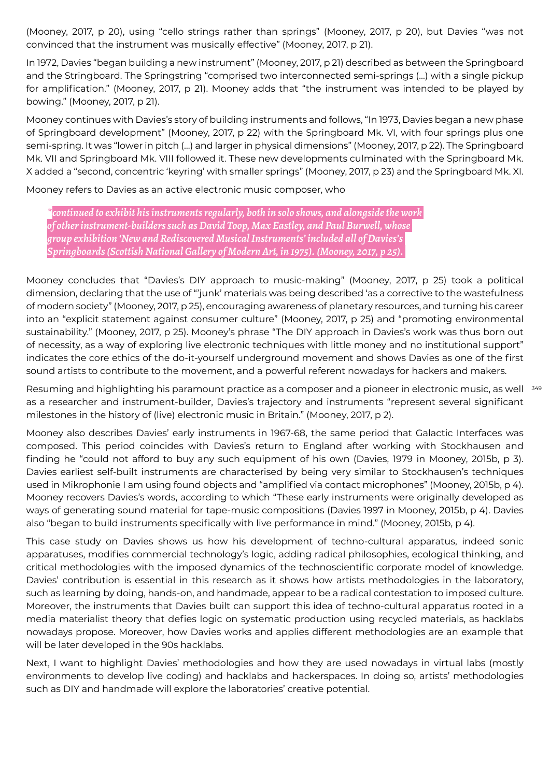(Mooney, 2017, p 20), using "cello strings rather than springs" (Mooney, 2017, p 20), but Davies "was not convinced that the instrument was musically effective" (Mooney, 2017, p 21).

In 1972, Davies "began building a new instrument" (Mooney, 2017, p 21) described as between the Springboard and the Stringboard. The Springstring "comprised two interconnected semi-springs (…) with a single pickup for amplification." (Mooney, 2017, p 21). Mooney adds that "the instrument was intended to be played by bowing." (Mooney, 2017, p 21).

Mooney continues with Davies's story of building instruments and follows, "In 1973, Davies began a new phase of Springboard development" (Mooney, 2017, p 22) with the Springboard Mk. VI, with four springs plus one semi-spring. It was "lower in pitch (…) and larger in physical dimensions" (Mooney, 2017, p 22). The Springboard Mk. VII and Springboard Mk. VIII followed it. These new developments culminated with the Springboard Mk. X added a "second, concentric 'keyring' with smaller springs" (Mooney, 2017, p 23) and the Springboard Mk. XI.

Mooney refers to Davies as an active electronic music composer, who

*\*continued to exhibit his instruments regularly, both in solo shows, and alongside the work of other instrument-builders such as David Toop, Max Eastley, and Paul Burwell, whose group exhibition 'New and Rediscovered Musical Instruments' included all of Davies's Springboards (Scottish National Gallery of Modern Art, in 1975). (Mooney, 2017, p 25).* 

Mooney concludes that "Davies's DIY approach to music-making" (Mooney, 2017, p 25) took a political dimension, declaring that the use of "'junk' materials was being described 'as a corrective to the wastefulness of modern society" (Mooney, 2017, p 25), encouraging awareness of planetary resources, and turning his career into an "explicit statement against consumer culture" (Mooney, 2017, p 25) and "promoting environmental sustainability." (Mooney, 2017, p 25). Mooney's phrase "The DIY approach in Davies's work was thus born out of necessity, as a way of exploring live electronic techniques with little money and no institutional support" indicates the core ethics of the do-it-yourself underground movement and shows Davies as one of the first sound artists to contribute to the movement, and a powerful referent nowadays for hackers and makers.

Resuming and highlighting his paramount practice as a composer and a pioneer in electronic music, as well <sup>349</sup> as a researcher and instrument-builder, Davies's trajectory and instruments "represent several significant milestones in the history of (live) electronic music in Britain." (Mooney, 2017, p 2).

Mooney also describes Davies' early instruments in 1967-68, the same period that Galactic Interfaces was composed. This period coincides with Davies's return to England after working with Stockhausen and finding he "could not afford to buy any such equipment of his own (Davies, 1979 in Mooney, 2015b, p 3). Davies earliest self-built instruments are characterised by being very similar to Stockhausen's techniques used in Mikrophonie I am using found objects and "amplified via contact microphones" (Mooney, 2015b, p 4). Mooney recovers Davies's words, according to which "These early instruments were originally developed as ways of generating sound material for tape-music compositions (Davies 1997 in Mooney, 2015b, p 4). Davies also "began to build instruments specifically with live performance in mind." (Mooney, 2015b, p 4).

This case study on Davies shows us how his development of techno-cultural apparatus, indeed sonic apparatuses, modifies commercial technology's logic, adding radical philosophies, ecological thinking, and critical methodologies with the imposed dynamics of the technoscientific corporate model of knowledge. Davies' contribution is essential in this research as it shows how artists methodologies in the laboratory, such as learning by doing, hands-on, and handmade, appear to be a radical contestation to imposed culture. Moreover, the instruments that Davies built can support this idea of techno-cultural apparatus rooted in a media materialist theory that defies logic on systematic production using recycled materials, as hacklabs nowadays propose. Moreover, how Davies works and applies different methodologies are an example that will be later developed in the 90s hacklabs.

Next, I want to highlight Davies' methodologies and how they are used nowadays in virtual labs (mostly environments to develop live coding) and hacklabs and hackerspaces. In doing so, artists' methodologies such as DIY and handmade will explore the laboratories' creative potential.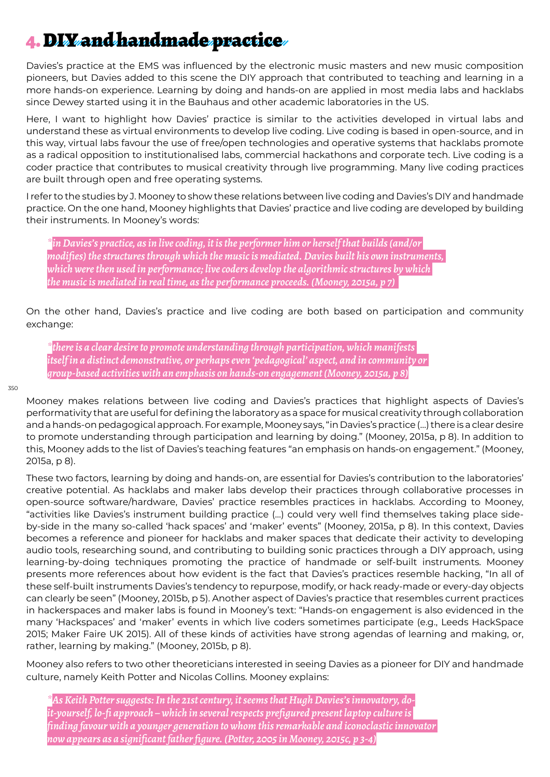### 4. DIY and handmade practice

Davies's practice at the EMS was influenced by the electronic music masters and new music composition pioneers, but Davies added to this scene the DIY approach that contributed to teaching and learning in a more hands-on experience. Learning by doing and hands-on are applied in most media labs and hacklabs since Dewey started using it in the Bauhaus and other academic laboratories in the US.

Here, I want to highlight how Davies' practice is similar to the activities developed in virtual labs and understand these as virtual environments to develop live coding. Live coding is based in open-source, and in this way, virtual labs favour the use of free/open technologies and operative systems that hacklabs promote as a radical opposition to institutionalised labs, commercial hackathons and corporate tech. Live coding is a coder practice that contributes to musical creativity through live programming. Many live coding practices are built through open and free operating systems.

I refer to the studies by J. Mooney to show these relations between live coding and Davies's DIY and handmade practice. On the one hand, Mooney highlights that Davies' practice and live coding are developed by building their instruments. In Mooney's words:

*\*in Davies's practice, as in live coding, it is the performer him or herself that builds (and/or modifies) the structures through which the music is mediated. Davies built his own instruments, which were then used in performance; live coders develop the algorithmic structures by which the music is mediated in real time, as the performance proceeds. (Mooney, 2015a, p 7)* 

On the other hand, Davies's practice and live coding are both based on participation and community exchange:

*\*there is a clear desire to promote understanding through participation, which manifests itself in a distinct demonstrative, or perhaps even 'pedagogical' aspect, and in community or group-based activities with an emphasis on hands-on engagement (Mooney, 2015a, p 8)*

#### 350

Mooney makes relations between live coding and Davies's practices that highlight aspects of Davies's performativity that are useful for defining the laboratory as a space for musical creativity through collaboration and a hands-on pedagogical approach. For example, Mooney says, "in Davies's practice (…) there is a clear desire to promote understanding through participation and learning by doing." (Mooney, 2015a, p 8). In addition to this, Mooney adds to the list of Davies's teaching features "an emphasis on hands-on engagement." (Mooney, 2015a, p 8).

These two factors, learning by doing and hands-on, are essential for Davies's contribution to the laboratories' creative potential. As hacklabs and maker labs develop their practices through collaborative processes in open-source software/hardware, Davies' practice resembles practices in hacklabs. According to Mooney, "activities like Davies's instrument building practice (…) could very well find themselves taking place sideby-side in the many so-called 'hack spaces' and 'maker' events" (Mooney, 2015a, p 8). In this context, Davies becomes a reference and pioneer for hacklabs and maker spaces that dedicate their activity to developing audio tools, researching sound, and contributing to building sonic practices through a DIY approach, using learning-by-doing techniques promoting the practice of handmade or self-built instruments. Mooney presents more references about how evident is the fact that Davies's practices resemble hacking, "In all of these self-built instruments Davies's tendency to repurpose, modify, or hack ready-made or every-day objects can clearly be seen" (Mooney, 2015b, p 5). Another aspect of Davies's practice that resembles current practices in hackerspaces and maker labs is found in Mooney's text: "Hands-on engagement is also evidenced in the many 'Hackspaces' and 'maker' events in which live coders sometimes participate (e.g., Leeds HackSpace 2015; Maker Faire UK 2015). All of these kinds of activities have strong agendas of learning and making, or, rather, learning by making." (Mooney, 2015b, p 8).

Mooney also refers to two other theoreticians interested in seeing Davies as a pioneer for DIY and handmade culture, namely Keith Potter and Nicolas Collins. Mooney explains:

*\*As Keith Potter suggests: In the 21st century, it seems that Hugh Davies's innovatory, doit-yourself, lo-fi approach – which in several respects prefigured present laptop culture is finding favour with a younger generation to whom this remarkable and iconoclastic innovator now appears as a significant father figure. (Potter, 2005 in Mooney, 2015c, p 3-4)*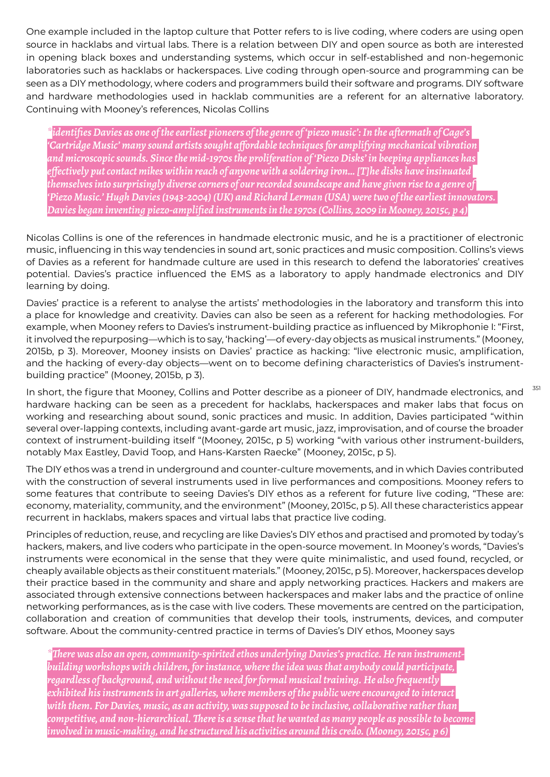One example included in the laptop culture that Potter refers to is live coding, where coders are using open source in hacklabs and virtual labs. There is a relation between DIY and open source as both are interested in opening black boxes and understanding systems, which occur in self-established and non-hegemonic laboratories such as hacklabs or hackerspaces. Live coding through open-source and programming can be seen as a DIY methodology, where coders and programmers build their software and programs. DIY software and hardware methodologies used in hacklab communities are a referent for an alternative laboratory. Continuing with Mooney's references, Nicolas Collins

*\*identifies Davies as one of the earliest pioneers of the genre of 'piezo music': In the aftermath of Cage's 'Cartridge Music' many sound artists sought affordable techniques for amplifying mechanical vibration and microscopic sounds. Since the mid-1970s the proliferation of 'Piezo Disks' in beeping appliances has effectively put contact mikes within reach of anyone with a soldering iron… [T]he disks have insinuated themselves into surprisingly diverse corners of our recorded soundscape and have given rise to a genre of 'Piezo Music.' Hugh Davies (1943-2004) (UK) and Richard Lerman (USA) were two of the earliest innovators. Davies began inventing piezo-amplified instruments in the 1970s (Collins, 2009 in Mooney, 2015c, p 4)*

Nicolas Collins is one of the references in handmade electronic music, and he is a practitioner of electronic music, influencing in this way tendencies in sound art, sonic practices and music composition. Collins's views of Davies as a referent for handmade culture are used in this research to defend the laboratories' creatives potential. Davies's practice influenced the EMS as a laboratory to apply handmade electronics and DIY learning by doing.

Davies' practice is a referent to analyse the artists' methodologies in the laboratory and transform this into a place for knowledge and creativity. Davies can also be seen as a referent for hacking methodologies. For example, when Mooney refers to Davies's instrument-building practice as influenced by Mikrophonie I: "First, it involved the repurposing—which is to say, 'hacking'—of every-day objects as musical instruments." (Mooney, 2015b, p 3). Moreover, Mooney insists on Davies' practice as hacking: "live electronic music, amplification, and the hacking of every-day objects—went on to become defining characteristics of Davies's instrumentbuilding practice" (Mooney, 2015b, p 3).

In short, the figure that Mooney, Collins and Potter describe as a pioneer of DIY, handmade electronics, and hardware hacking can be seen as a precedent for hacklabs, hackerspaces and maker labs that focus on working and researching about sound, sonic practices and music. In addition, Davies participated "within several over-lapping contexts, including avant-garde art music, jazz, improvisation, and of course the broader context of instrument-building itself "(Mooney, 2015c, p 5) working "with various other instrument-builders, notably Max Eastley, David Toop, and Hans-Karsten Raecke" (Mooney, 2015c, p 5).

351

The DIY ethos was a trend in underground and counter-culture movements, and in which Davies contributed with the construction of several instruments used in live performances and compositions. Mooney refers to some features that contribute to seeing Davies's DIY ethos as a referent for future live coding, "These are: economy, materiality, community, and the environment" (Mooney, 2015c, p 5). All these characteristics appear recurrent in hacklabs, makers spaces and virtual labs that practice live coding.

Principles of reduction, reuse, and recycling are like Davies's DIY ethos and practised and promoted by today's hackers, makers, and live coders who participate in the open-source movement. In Mooney's words, "Davies's instruments were economical in the sense that they were quite minimalistic, and used found, recycled, or cheaply available objects as their constituent materials." (Mooney, 2015c, p 5). Moreover, hackerspaces develop their practice based in the community and share and apply networking practices. Hackers and makers are associated through extensive connections between hackerspaces and maker labs and the practice of online networking performances, as is the case with live coders. These movements are centred on the participation, collaboration and creation of communities that develop their tools, instruments, devices, and computer software. About the community-centred practice in terms of Davies's DIY ethos, Mooney says

*\*There was also an open, community-spirited ethos underlying Davies's practice. He ran instrumentbuilding workshops with children, for instance, where the idea was that anybody could participate, regardless of background, and without the need for formal musical training. He also frequently exhibited his instruments in art galleries, where members of the public were encouraged to interact with them. For Davies, music, as an activity, was supposed to be inclusive, collaborative rather than competitive, and non-hierarchical. There is a sense that he wanted as many people as possible to become involved in music-making, and he structured his activities around this credo. (Mooney, 2015c, p 6)*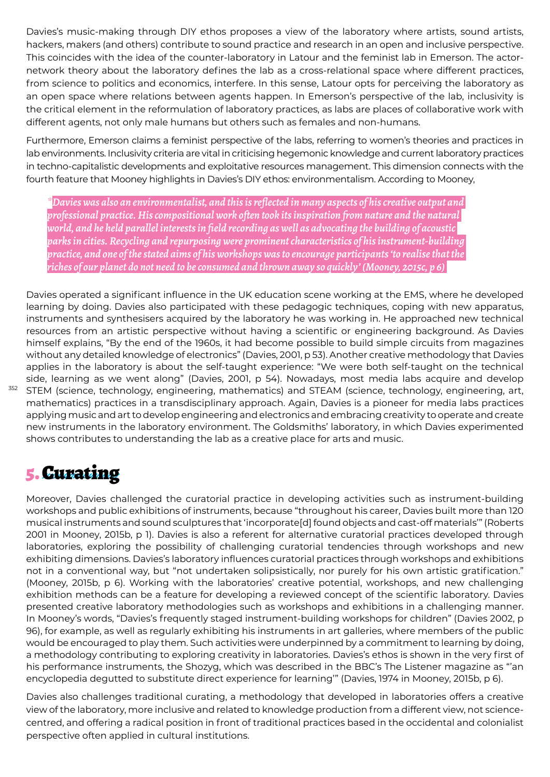Davies's music-making through DIY ethos proposes a view of the laboratory where artists, sound artists, hackers, makers (and others) contribute to sound practice and research in an open and inclusive perspective. This coincides with the idea of the counter-laboratory in Latour and the feminist lab in Emerson. The actornetwork theory about the laboratory defines the lab as a cross-relational space where different practices, from science to politics and economics, interfere. In this sense, Latour opts for perceiving the laboratory as an open space where relations between agents happen. In Emerson's perspective of the lab, inclusivity is the critical element in the reformulation of laboratory practices, as labs are places of collaborative work with different agents, not only male humans but others such as females and non-humans.

Furthermore, Emerson claims a feminist perspective of the labs, referring to women's theories and practices in lab environments. Inclusivity criteria are vital in criticising hegemonic knowledge and current laboratory practices in techno-capitalistic developments and exploitative resources management. This dimension connects with the fourth feature that Mooney highlights in Davies's DIY ethos: environmentalism. According to Mooney,

*\*Davies was also an environmentalist, and this is reflected in many aspects of his creative output and professional practice. His compositional work often took its inspiration from nature and the natural world, and he held parallel interests in field recording as well as advocating the building of acoustic parks in cities. Recycling and repurposing were prominent characteristics of his instrument-building practice, and one of the stated aims of his workshops was to encourage participants 'to realise that the riches of our planet do not need to be consumed and thrown away so quickly' (Mooney, 2015c, p 6)* 

Davies operated a significant influence in the UK education scene working at the EMS, where he developed learning by doing. Davies also participated with these pedagogic techniques, coping with new apparatus, instruments and synthesisers acquired by the laboratory he was working in. He approached new technical resources from an artistic perspective without having a scientific or engineering background. As Davies himself explains, "By the end of the 1960s, it had become possible to build simple circuits from magazines without any detailed knowledge of electronics" (Davies, 2001, p 53). Another creative methodology that Davies applies in the laboratory is about the self-taught experience: "We were both self-taught on the technical side, learning as we went along" (Davies, 2001, p 54). Nowadays, most media labs acquire and develop STEM (science, technology, engineering, mathematics) and STEAM (science, technology, engineering, art, mathematics) practices in a transdisciplinary approach. Again, Davies is a pioneer for media labs practices applying music and art to develop engineering and electronics and embracing creativity to operate and create new instruments in the laboratory environment. The Goldsmiths' laboratory, in which Davies experimented shows contributes to understanding the lab as a creative place for arts and music.

#### 5. Curating

352

Moreover, Davies challenged the curatorial practice in developing activities such as instrument-building workshops and public exhibitions of instruments, because "throughout his career, Davies built more than 120 musical instruments and sound sculptures that 'incorporate[d] found objects and cast-off materials'" (Roberts 2001 in Mooney, 2015b, p 1). Davies is also a referent for alternative curatorial practices developed through laboratories, exploring the possibility of challenging curatorial tendencies through workshops and new exhibiting dimensions. Davies's laboratory influences curatorial practices through workshops and exhibitions not in a conventional way, but "not undertaken solipsistically, nor purely for his own artistic gratification." (Mooney, 2015b, p 6). Working with the laboratories' creative potential, workshops, and new challenging exhibition methods can be a feature for developing a reviewed concept of the scientific laboratory. Davies presented creative laboratory methodologies such as workshops and exhibitions in a challenging manner. In Mooney's words, "Davies's frequently staged instrument-building workshops for children" (Davies 2002, p 96), for example, as well as regularly exhibiting his instruments in art galleries, where members of the public would be encouraged to play them. Such activities were underpinned by a commitment to learning by doing, a methodology contributing to exploring creativity in laboratories. Davies's ethos is shown in the very first of his performance instruments, the Shozyg, which was described in the BBC's The Listener magazine as "'an encyclopedia degutted to substitute direct experience for learning'" (Davies, 1974 in Mooney, 2015b, p 6).

Davies also challenges traditional curating, a methodology that developed in laboratories offers a creative view of the laboratory, more inclusive and related to knowledge production from a different view, not sciencecentred, and offering a radical position in front of traditional practices based in the occidental and colonialist perspective often applied in cultural institutions.